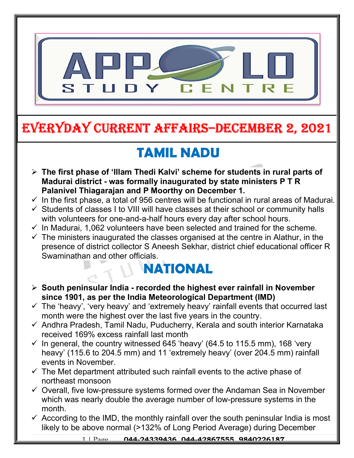

## EVERYDAY CURRENT AFFAIRS–DECEMBER 2, 2021

-

# TAMIL NADU

- $\triangleright$  The first phase of 'Illam Thedi Kalvi' scheme for students in rural parts of Madurai district - was formally inaugurated by state ministers P T R Palanivel Thiagarajan and P Moorthy on December 1.
- $\checkmark$  In the first phase, a total of 956 centres will be functional in rural areas of Madurai.
- $\checkmark$  Students of classes I to VIII will have classes at their school or community halls with volunteers for one-and-a-half hours every day after school hours.
- $\checkmark$  In Madurai, 1,062 volunteers have been selected and trained for the scheme.
- $\checkmark$  The ministers inaugurated the classes organised at the centre in Alathur, in the presence of district collector S Aneesh Sekhar, district chief educational officer R Swaminathan and other officials.

## NATIONAL

- $\triangleright$  South peninsular India recorded the highest ever rainfall in November since 1901, as per the India Meteorological Department (IMD)
- $\checkmark$  The 'heavy', 'very heavy' and 'extremely heavy' rainfall events that occurred last month were the highest over the last five years in the country.
- $\checkmark$  Andhra Pradesh, Tamil Nadu, Puducherry, Kerala and south interior Karnataka received 169% excess rainfall last month
- $\checkmark$  In general, the country witnessed 645 'heavy' (64.5 to 115.5 mm), 168 'very heavy' (115.6 to 204.5 mm) and 11 'extremely heavy' (over 204.5 mm) rainfall events in November.
- $\checkmark$  The Met department attributed such rainfall events to the active phase of northeast monsoon
- $\checkmark$  Overall, five low-pressure systems formed over the Andaman Sea in November which was nearly double the average number of low-pressure systems in the month.
- $\checkmark$  According to the IMD, the monthly rainfall over the south peninsular India is most likely to be above normal (>132% of Long Period Average) during December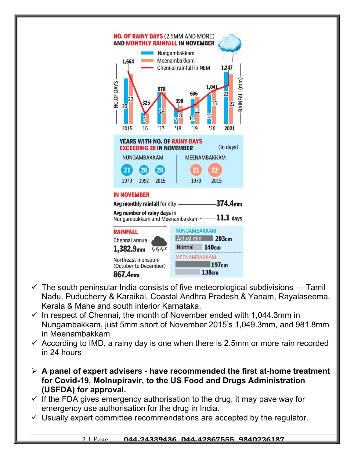

- $\checkmark$  The south peninsular India consists of five meteorological subdivisions Tamil Nadu, Puducherry & Karaikal, Coastal Andhra Pradesh & Yanam, Rayalaseema, Kerala & Mahe and south interior Karnataka.
- $\checkmark$  In respect of Chennai, the month of November ended with 1,044.3mm in Nungambakkam, just 5mm short of November 2015's 1,049.3mm, and 981.8mm in Meenambakkam
- $\checkmark$  According to IMD, a rainy day is one when there is 2.5mm or more rain recorded in 24 hours
- $\triangleright$  A panel of expert advisers have recommended the first at-home treatment for Covid-19, Molnupiravir, to the US Food and Drugs Administration (USFDA) for approval.
- $\checkmark$  If the FDA gives emergency authorisation to the drug, it may pave way for emergency use authorisation for the drug in India.
- $\checkmark$  Usually expert committee recommendations are accepted by the regulator.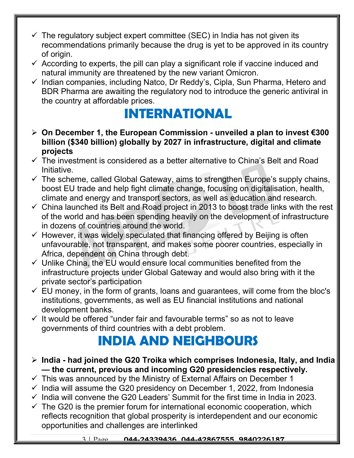- $\checkmark$  The regulatory subject expert committee (SEC) in India has not given its recommendations primarily because the drug is yet to be approved in its country of origin.
- $\checkmark$  According to experts, the pill can play a significant role if vaccine induced and natural immunity are threatened by the new variant Omicron.
- $\checkmark$  Indian companies, including Natco, Dr Reddy's, Cipla, Sun Pharma, Hetero and BDR Pharma are awaiting the regulatory nod to introduce the generic antiviral in the country at affordable prices.

### INTERNATIONAL

- $>$  On December 1, the European Commission unveiled a plan to invest €300 billion (\$340 billion) globally by 2027 in infrastructure, digital and climate projects
- $\checkmark$  The investment is considered as a better alternative to China's Belt and Road Initiative.
- $\checkmark$  The scheme, called Global Gateway, aims to strengthen Europe's supply chains, boost EU trade and help fight climate change, focusing on digitalisation, health, climate and energy and transport sectors, as well as education and research.
- $\checkmark$  China launched its Belt and Road project in 2013 to boost trade links with the rest of the world and has been spending heavily on the development of infrastructure in dozens of countries around the world.
- $\checkmark$  However, it was widely speculated that financing offered by Beijing is often unfavourable, not transparent, and makes some poorer countries, especially in Africa, dependent on China through debt.
- $\checkmark$  Unlike China, the EU would ensure local communities benefited from the infrastructure projects under Global Gateway and would also bring with it the private sector's participation
- $\checkmark$  EU money, in the form of grants, loans and guarantees, will come from the bloc's institutions, governments, as well as EU financial institutions and national development banks.
- $\checkmark$  It would be offered "under fair and favourable terms" so as not to leave governments of third countries with a debt problem.

#### INDIA AND NEIGHBOURS

- $\triangleright$  India had joined the G20 Troika which comprises Indonesia, Italy, and India — the current, previous and incoming G20 presidencies respectively.
- $\checkmark$  This was announced by the Ministry of External Affairs on December 1
- $\checkmark$  India will assume the G20 presidency on December 1, 2022, from Indonesia
- $\checkmark$  India will convene the G20 Leaders' Summit for the first time in India in 2023.
- $\checkmark$  The G20 is the premier forum for international economic cooperation, which reflects recognition that global prosperity is interdependent and our economic opportunities and challenges are interlinked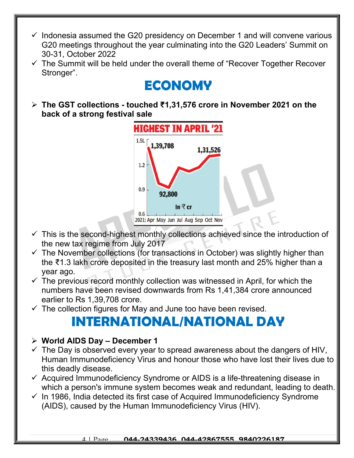- $\checkmark$  Indonesia assumed the G20 presidency on December 1 and will convene various G20 meetings throughout the year culminating into the G20 Leaders' Summit on 30-31, October 2022
- $\checkmark$  The Summit will be held under the overall theme of "Recover Together Recover Stronger".

#### ECONOMY

 The GST collections - touched ₹1,31,576 crore in November 2021 on the back of a strong festival sale



- $\checkmark$  This is the second-highest monthly collections achieved since the introduction of the new tax regime from July 2017
- $\checkmark$  The November collections (for transactions in October) was slightly higher than the ₹1.3 lakh crore deposited in the treasury last month and 25% higher than a year ago.
- $\checkmark$  The previous record monthly collection was witnessed in April, for which the numbers have been revised downwards from Rs 1,41,384 crore announced earlier to Rs 1,39,708 crore.
- $\checkmark$  The collection figures for May and June too have been revised.

#### INTERNATIONAL/NATIONAL DAY

#### $\triangleright$  World AIDS Day – December 1

- $\checkmark$  The Day is observed every year to spread awareness about the dangers of HIV, Human Immunodeficiency Virus and honour those who have lost their lives due to this deadly disease.
- $\checkmark$  Acquired Immunodeficiency Syndrome or AIDS is a life-threatening disease in which a person's immune system becomes weak and redundant, leading to death.
- $\checkmark$  In 1986, India detected its first case of Acquired Immunodeficiency Syndrome (AIDS), caused by the Human Immunodeficiency Virus (HIV).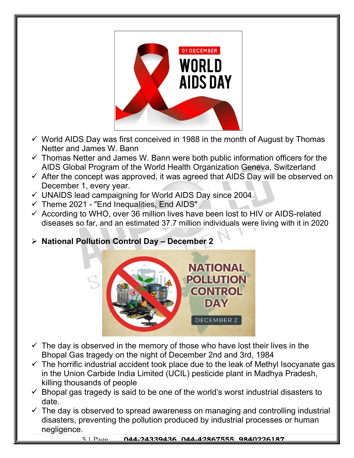

- $\checkmark$  World AIDS Day was first conceived in 1988 in the month of August by Thomas Netter and James W. Bann
- $\checkmark$  Thomas Netter and James W. Bann were both public information officers for the AIDS Global Program of the World Health Organization Geneva, Switzerland
- $\checkmark$  After the concept was approved, it was agreed that AIDS Day will be observed on December 1, every year.
- $\checkmark$  UNAIDS lead campaigning for World AIDS Day since 2004.
- $\checkmark$  Theme 2021 "End Inequalities, End AIDS"
- $\checkmark$  According to WHO, over 36 million lives have been lost to HIV or AIDS-related diseases so far, and an estimated 37.7 million individuals were living with it in 2020
- $\triangleright$  National Pollution Control Day December 2



- $\checkmark$  The day is observed in the memory of those who have lost their lives in the Bhopal Gas tragedy on the night of December 2nd and 3rd, 1984
- $\checkmark$  The horrific industrial accident took place due to the leak of Methyl Isocyanate gas in the Union Carbide India Limited (UCIL) pesticide plant in Madhya Pradesh, killing thousands of people
- $\checkmark$  Bhopal gas tragedy is said to be one of the world's worst industrial disasters to date.
- $\checkmark$  The day is observed to spread awareness on managing and controlling industrial disasters, preventing the pollution produced by industrial processes or human negligence.